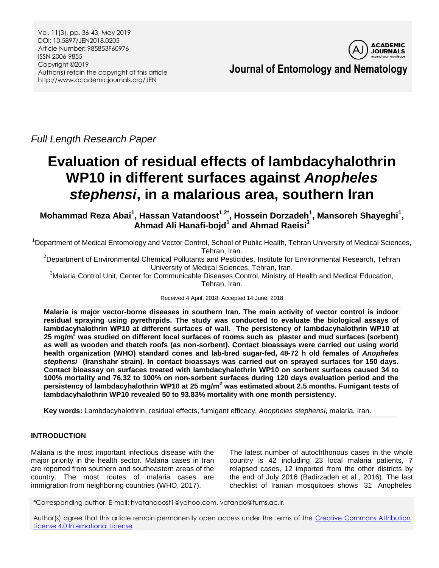

**Journal of Entomology and Nematology**

*Full Length Research Paper*

# **Evaluation of residual effects of lambdacyhalothrin WP10 in different surfaces against** *Anopheles stephensi***, in a malarious area, southern Iran**

**Mohammad Reza Abai<sup>1</sup> , Hassan Vatandoost1,2\* , Hossein Dorzadeh<sup>1</sup> , Mansoreh Shayeghi<sup>1</sup> , Ahmad Ali Hanafi-bojd<sup>1</sup> and Ahmad Raeisi<sup>3</sup>**

<sup>1</sup>Department of Medical Entomology and Vector Control, School of Public Health, Tehran University of Medical Sciences, Tehran, Iran.

<sup>2</sup>Department of Environmental Chemical Pollutants and Pesticides, Institute for Environmental Research, Tehran University of Medical Sciences, Tehran, Iran.

<sup>3</sup>Malaria Control Unit, Center for Communicable Diseases Control, Ministry of Health and Medical Education, Tehran, Iran.

Received 4 April, 2018; Accepted 14 June, 2018

**Malaria is major vector-borne diseases in southern Iran. The main activity of vector control is indoor residual spraying using pyrethrpids. The study was conducted to evaluate the biological assays of lambdacyhalothrin WP10 at different surfaces of wall. The persistency of lambdacyhalothrin WP10 at 25 mg/m<sup>2</sup> was studied on different local surfaces of rooms such as plaster and mud surfaces (sorbent) as well as wooden and thatch roofs (as non-sorbent). Contact bioassays were carried out using world health organization (WHO) standard cones and lab-bred sugar-fed, 48-72 h old females of** *Anopheles stephensi* **(Iranshahr strain). In contact bioassays was carried out on sprayed surfaces for 150 days. Contact bioassay on surfaces treated with lambdacyhalothrin WP10 on sorbent surfaces caused 34 to 100% mortality and 76.32 to 100% on non-sorbent surfaces during 120 days evaluation period and the persistency of lambdacyhalothrin WP10 at 25 mg/m<sup>2</sup> was estimated about 2.5 months. Fumigant tests of lambdacyhalothrin WP10 revealed 50 to 93.83% mortality with one month persistency.**

**Key words:** Lambdacyhalothrin, residual effects, fumigant efficacy, *Anopheles stephensi*, malaria, Iran.

## **INTRODUCTION**

Malaria is the most important infectious disease with the major priority in the health sector. Malaria cases in Iran are reported from southern and southeastern areas of the country. The most routes of malaria cases are immigration from neighboring countries (WHO, 2017).

The latest number of autochthonous cases in the whole country is 42 including 23 local malaria patients, 7 relapsed cases, 12 imported from the other districts by the end of July 2016 (Badirzadeh et al., 2016). The last checklist of Iranian mosquitoes shows 31 Anopheles

\*Corresponding author. E-mail: hvatandoost1@yahoo.com. vatando@tums.ac.ir.

Author(s) agree that this article remain permanently open access under the terms of the Creative Commons Attribution [License 4.0 International License](http://creativecommons.org/licenses/by/4.0/deed.en_US)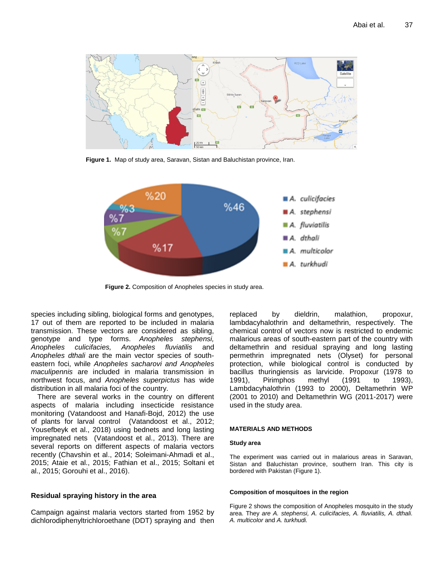

**Figure 1.** Map of study area, Saravan, Sistan and Baluchistan province, Iran.



**Figure 2.** Composition of Anopheles species in study area.

species including sibling, biological forms and genotypes, 17 out of them are reported to be included in malaria transmission. These vectors are considered as sibling, genotype and type forms. *Anopheles stephensi, Anopheles culicifacies, Anopheles fluviatilis* and *Anopheles dthali* are the main vector species of southeastern foci, while *Anopheles sacharovi and Anopheles maculipennis* are included in malaria transmission in northwest focus, and *Anopheles superpictus* has wide distribution in all malaria foci of the country.

There are several works in the country on different aspects of malaria including insecticide resistance monitoring (Vatandoost and Hanafi-Bojd, 2012) the use of plants for larval control (Vatandoost et al., 2012; Yousefbeyk et al., 2018) using bednets and long lasting impregnated nets (Vatandoost et al., 2013). There are several reports on different aspects of malaria vectors recently (Chavshin et al., 2014; Soleimani-Ahmadi et al., 2015; Ataie et al., 2015; Fathian et al., 2015; Soltani et al., 2015; Gorouhi et al., 2016).

## **Residual spraying history in the area**

Campaign against malaria vectors started from 1952 by dichlorodiphenyltrichloroethane (DDT) spraying and then replaced by dieldrin, malathion, propoxur, lambdacyhalothrin and deltamethrin, respectively. The chemical control of vectors now is restricted to endemic malarious areas of south-eastern part of the country with deltamethrin and residual spraying and long lasting permethrin impregnated nets (Olyset) for personal protection, while biological control is conducted by bacillus thuringiensis as larvicide. Propoxur (1978 to 1991), Pirimphos methyl (1991 to 1993), Lambdacyhalothrin (1993 to 2000), Deltamethrin WP (2001 to 2010) and Deltamethrin WG (2011-2017) were used in the study area.

#### **MATERIALS AND METHODS**

#### **Study area**

The experiment was carried out in malarious areas in Saravan, Sistan and Baluchistan province, southern Iran. This city is bordered with Pakistan (Figure 1).

#### **Composition of mosquitoes in the region**

Figure 2 shows the composition of Anopheles mosquito in the study area. They *are A. stephensi, A. culicifacies, A. fluviatilis, A. dthali. A. multicolor* and *A. turkhudi.*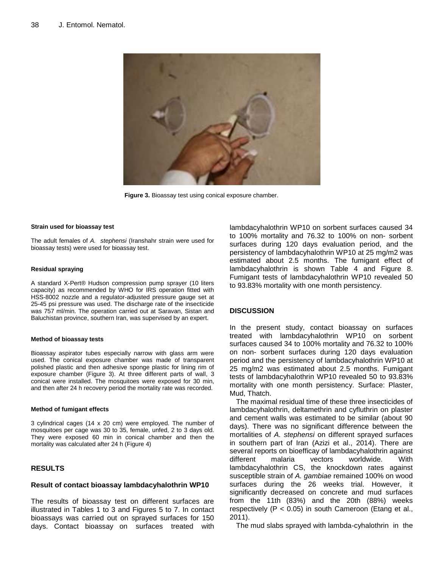

**Figure 3.** Bioassay test using conical exposure chamber.

#### **Strain used for bioassay test**

The adult females of *A. stephensi* (Iranshahr strain were used for bioassay tests) were used for bioassay test.

#### **Residual spraying**

A standard X-Pert® Hudson compression pump sprayer (10 liters capacity) as recommended by WHO for IRS operation fitted with HSS-8002 nozzle and a regulator-adjusted pressure gauge set at 25-45 psi pressure was used. The discharge rate of the insecticide was 757 ml/min. The operation carried out at Saravan, Sistan and Baluchistan province, southern Iran, was supervised by an expert.

#### **Method of bioassay tests**

Bioassay aspirator tubes especially narrow with glass arm were used. The conical exposure chamber was made of transparent polished plastic and then adhesive sponge plastic for lining rim of exposure chamber (Figure 3). At three different parts of wall, 3 conical were installed. The mosquitoes were exposed for 30 min, and then after 24 h recovery period the mortality rate was recorded.

#### **Method of fumigant effects**

3 cylindrical cages (14 x 20 cm) were employed. The number of mosquitoes per cage was 30 to 35, female, unfed, 2 to 3 days old. They were exposed 60 min in conical chamber and then the mortality was calculated after 24 h (Figure 4)

## **RESULTS**

## **Result of contact bioassay lambdacyhalothrin WP10**

The results of bioassay test on different surfaces are illustrated in Tables 1 to 3 and Figures 5 to 7. In contact bioassays was carried out on sprayed surfaces for 150 days. Contact bioassay on surfaces treated with lambdacyhalothrin WP10 on sorbent surfaces caused 34 to 100% mortality and 76.32 to 100% on non- sorbent surfaces during 120 days evaluation period, and the persistency of lambdacyhalothrin WP10 at 25 mg/m2 was estimated about 2.5 months. The fumigant effect of lambdacyhalothrin is shown Table 4 and Figure 8. Fumigant tests of lambdacyhalothrin WP10 revealed 50 to 93.83% mortality with one month persistency.

### **DISCUSSION**

In the present study, contact bioassay on surfaces treated with lambdacyhalothrin WP10 on sorbent surfaces caused 34 to 100% mortality and 76.32 to 100% on non- sorbent surfaces during 120 days evaluation period and the persistency of lambdacyhalothrin WP10 at 25 mg/m2 was estimated about 2.5 months. Fumigant tests of lambdacyhalothrin WP10 revealed 50 to 93.83% mortality with one month persistency. Surface: Plaster, Mud, Thatch.

The maximal residual time of these three insecticides of lambdacyhalothrin, deltamethrin and cyfluthrin on plaster and cement walls was estimated to be similar (about 90 days). There was no significant difference between the mortalities of *A. stephensi* on different sprayed surfaces in southern part of Iran (Azizi et al., 2014). There are several reports on bioefficay of lambdacyhalothrin against different malaria vectors worldwide. With lambdacyhalothrin CS, the knockdown rates against susceptible strain of *A. gambiae* remained 100% on wood surfaces during the 26 weeks trial. However, it significantly decreased on concrete and mud surfaces from the 11th (83%) and the 20th (88%) weeks respectively (P < 0.05) in south Cameroon (Etang et al., 2011).

The mud slabs sprayed with lambda-cyhalothrin in the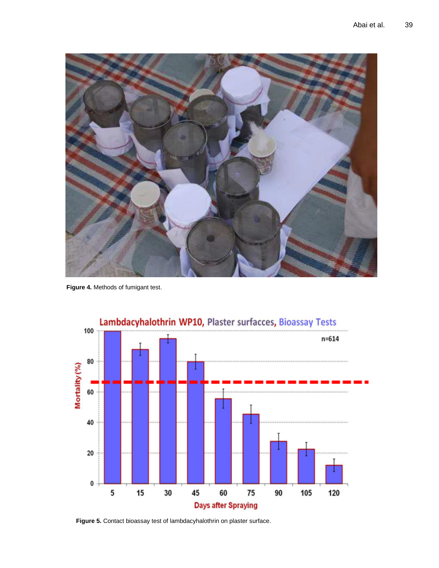

**Figure 4.** Methods of fumigant test.



Lambdacyhalothrin WP10, Plaster surfacces, Bioassay Tests

**Figure 5.** Contact bioassay test of lambdacyhalothrin on plaster surface.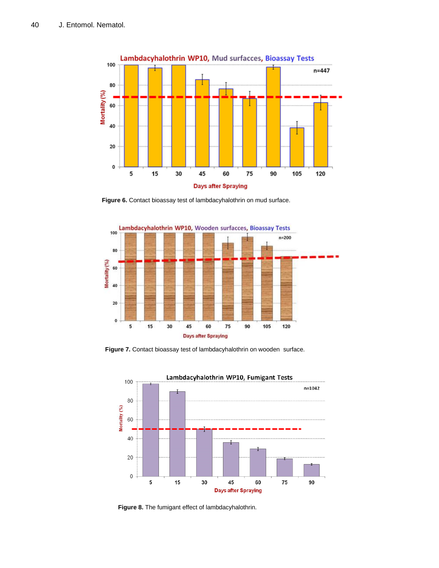

**Figure 6.** Contact bioassay test of lambdacyhalothrin on mud surface.



**Figure 7.** Contact bioassay test of lambdacyhalothrin on wooden surface.



**Figure 8.** The fumigant effect of lambdacyhalothrin.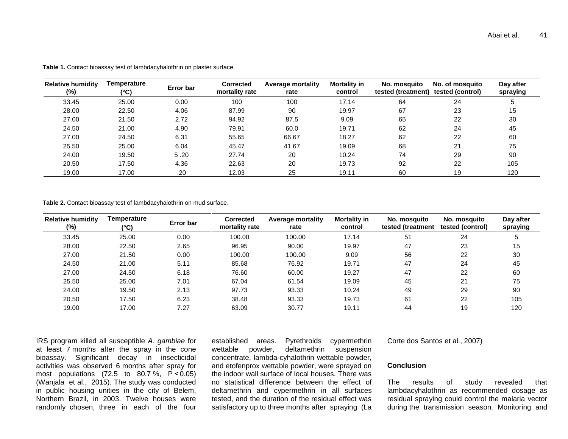| <b>Relative humidity</b><br>(%) | Temperature<br>$(^{\circ}C)$ | <b>Error bar</b> | <b>Corrected</b><br>mortality rate | <b>Average mortality</b><br>rate | <b>Mortality in</b><br>control | No. mosquito<br>tested (treatment) | No. of mosquito<br>tested (control) | Day after<br>spraying |
|---------------------------------|------------------------------|------------------|------------------------------------|----------------------------------|--------------------------------|------------------------------------|-------------------------------------|-----------------------|
| 33.45                           | 25.00                        | 0.00             | 100                                | 100                              | 17.14                          | 64                                 | 24                                  | '5                    |
| 28.00                           | 22.50                        | 4.06             | 87.99                              | 90                               | 19.97                          | 67                                 | 23                                  | 15                    |
| 27.00                           | 21.50                        | 2.72             | 94.92                              | 87.5                             | 9.09                           | 65                                 | 22                                  | 30                    |
| 24.50                           | 21.00                        | 4.90             | 79.91                              | 60.0                             | 19.71                          | 62                                 | 24                                  | 45                    |
| 27.00                           | 24.50                        | 6.31             | 55.65                              | 66.67                            | 18.27                          | 62                                 | 22                                  | 60                    |
| 25.50                           | 25.00                        | 6.04             | 45.47                              | 41.67                            | 19.09                          | 68                                 | 21                                  | 75                    |
| 24.00                           | 19.50                        | 5.20             | 27.74                              | 20                               | 10.24                          | 74                                 | 29                                  | 90                    |
| 20.50                           | 17.50                        | 4.36             | 22.63                              | 20                               | 19.73                          | 92                                 | 22                                  | 105                   |
| 19.00                           | 17.00                        | .20              | 12.03                              | 25                               | 19.11                          | 60                                 | 19                                  | 120                   |

**Table 1.** Contact bioassay test of lambdacyhalothrin on plaster surface.

**Table 2.** Contact bioassay test of lambdacyhalothrin on mud surface.

| <b>Relative humidity</b><br>(%) | Temperature<br>$(^{\circ}C)$ | Error bar | <b>Corrected</b><br>mortality rate | <b>Average mortality</b><br>rate | <b>Mortality in</b><br>control | No. mosquito<br>tested (treatment | No. mosquito<br>tested (control) | Day after<br>spraying |
|---------------------------------|------------------------------|-----------|------------------------------------|----------------------------------|--------------------------------|-----------------------------------|----------------------------------|-----------------------|
| 33.45                           | 25.00                        | 0.00      | 100.00                             | 100.00                           | 17.14                          | 51                                | 24                               |                       |
| 28.00                           | 22.50                        | 2.65      | 96.95                              | 90.00                            | 19.97                          | 47                                | 23                               | 15                    |
| 27.00                           | 21.50                        | 0.00      | 100.00                             | 100.00                           | 9.09                           | 56                                | 22                               | 30                    |
| 24.50                           | 21.00                        | 5.11      | 85.68                              | 76.92                            | 19.71                          | 47                                | 24                               | 45                    |
| 27.00                           | 24.50                        | 6.18      | 76.60                              | 60.00                            | 19.27                          | 47                                | 22                               | 60                    |
| 25.50                           | 25.00                        | 7.01      | 67.04                              | 61.54                            | 19.09                          | 45                                | 21                               | 75                    |
| 24.00                           | 19.50                        | 2.13      | 97.73                              | 93.33                            | 10.24                          | 49                                | 29                               | 90                    |
| 20.50                           | 17.50                        | 6.23      | 38.48                              | 93.33                            | 19.73                          | 61                                | 22                               | 105                   |
| 19.00                           | 17.00                        | 7.27      | 63.09                              | 30.77                            | 19.11                          | 44                                | 19                               | 120                   |

IRS program killed all susceptible *A. gambiae* for at least 7 months after the spray in the cone bioassay. Significant decay in insecticidal activities was observed 6 months after spray for most populations (72.5 to 80.7 %, P *<*0.05) (Wanjala et al., 2015). The study was conducted in public housing unities in the city of Belem, Northern Brazil, in 2003. Twelve houses were randomly chosen, three in each of the four

established areas. Pyrethroids cypermethrin wettable powder, deltamethrin suspension concentrate, lambda-cyhalothrin wettable powder, and etofenprox wettable powder, were sprayed on the indoor wall surface of local houses. There was no statistical difference between the effect of deltamethrin and cypermethrin in all surfaces tested, and the duration of the residual effect was satisfactory up to three months after spraying (La Corte dos Santos et al., 2007)

## **Conclusion**

The results of study revealed that lambdacyhalothrin as recommended dosage as residual spraying could control the malaria vector during the transmission season. Monitoring and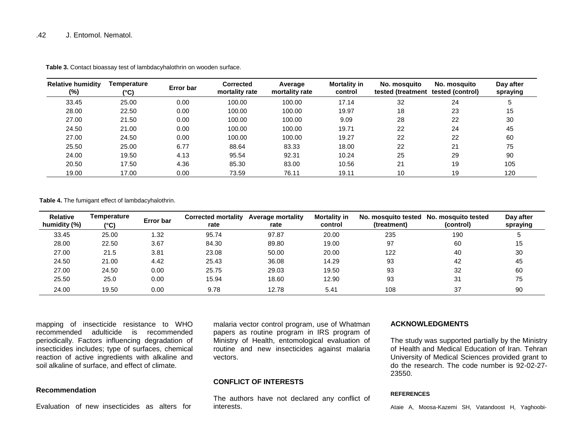| <b>Relative humidity</b><br>(%) | Temperature<br>$(^{\circ}C)$ | Error bar | <b>Corrected</b><br>mortality rate | Average<br>mortality rate | Mortality in<br>control | No. mosquito<br>tested (treatment tested (control) | No. mosquito | Day after<br>spraying |
|---------------------------------|------------------------------|-----------|------------------------------------|---------------------------|-------------------------|----------------------------------------------------|--------------|-----------------------|
| 33.45                           | 25.00                        | 0.00      | 100.00                             | 100.00                    | 17.14                   | 32                                                 | 24           | 5                     |
| 28.00                           | 22.50                        | 0.00      | 100.00                             | 100.00                    | 19.97                   | 18                                                 | 23           | 15                    |
| 27.00                           | 21.50                        | 0.00      | 100.00                             | 100.00                    | 9.09                    | 28                                                 | 22           | 30                    |
| 24.50                           | 21.00                        | 0.00      | 100.00                             | 100.00                    | 19.71                   | 22                                                 | 24           | 45                    |
| 27.00                           | 24.50                        | 0.00      | 100.00                             | 100.00                    | 19.27                   | 22                                                 | 22           | 60                    |
| 25.50                           | 25.00                        | 6.77      | 88.64                              | 83.33                     | 18.00                   | 22                                                 | 21           | 75                    |
| 24.00                           | 19.50                        | 4.13      | 95.54                              | 92.31                     | 10.24                   | 25                                                 | 29           | 90                    |
| 20.50                           | 17.50                        | 4.36      | 85.30                              | 83.00                     | 10.56                   | 21                                                 | 19           | 105                   |
| 19.00                           | 17.00                        | 0.00      | 73.59                              | 76.11                     | 19.11                   | 10 <sup>°</sup>                                    | 19           | 120                   |

**Table 3.** Contact bioassay test of lambdacyhalothrin on wooden surface.

**Table 4.** The fumigant effect of lambdacyhalothrin.

| <b>Relative</b><br>humidity (%) | Temperature<br>(°C) | Error bar | <b>Corrected mortality</b><br>rate | <b>Average mortality</b><br>rate | <b>Mortality in</b><br>control | (treatment) | No. mosquito tested No. mosquito tested<br>(control) | Day after<br>spraying |
|---------------------------------|---------------------|-----------|------------------------------------|----------------------------------|--------------------------------|-------------|------------------------------------------------------|-----------------------|
| 33.45                           | 25.00               | 1.32      | 95.74                              | 97.87                            | 20.00                          | 235         | 190                                                  |                       |
| 28.00                           | 22.50               | 3.67      | 84.30                              | 89.80                            | 19.00                          | 97          | 60                                                   | 15                    |
| 27.00                           | 21.5                | 3.81      | 23.08                              | 50.00                            | 20.00                          | 122         | 40                                                   | 30                    |
| 24.50                           | 21.00               | 4.42      | 25.43                              | 36.08                            | 14.29                          | 93          | 42                                                   | 45                    |
| 27.00                           | 24.50               | 0.00      | 25.75                              | 29.03                            | 19.50                          | 93          | 32                                                   | 60                    |
| 25.50                           | 25.0                | 0.00      | 15.94                              | 18.60                            | 12.90                          | 93          | 31                                                   | 75                    |
| 24.00                           | 19.50               | 0.00      | 9.78                               | 12.78                            | 5.41                           | 108         | 37                                                   | 90                    |

mapping of insecticide resistance to WHO recommended adulticide is recommended periodically. Factors influencing degradation of insecticides includes; type of surfaces, chemical reaction of active ingredients with alkaline and soil alkaline of surface, and effect of climate.

## **Recommendation**

Evaluation of new insecticides as alters for

malaria vector control program, use of Whatman papers as routine program in IRS program of Ministry of Health, entomological evaluation of routine and new insecticides against malaria vectors.

## **CONFLICT OF INTERESTS**

The authors have not declared any conflict of interests.

## **ACKNOWLEDGMENTS**

The study was supported partially by the Ministry of Health and Medical Education of Iran. Tehran University of Medical Sciences provided grant to do the research. The code number is 92-02-27- 23550.

#### **REFERENCES**

Ataie A, Moosa-Kazemi SH, Vatandoost H, Yaghoobi-